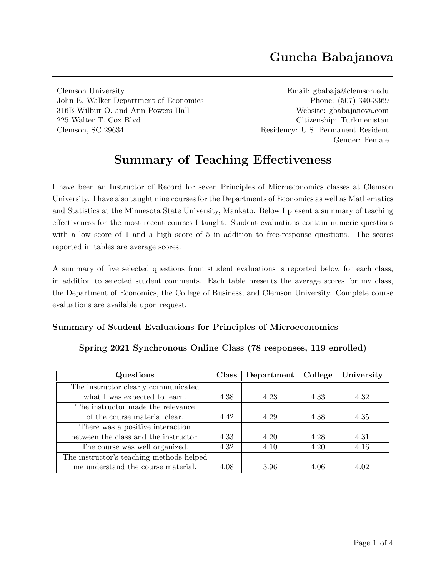# Guncha Babajanova

Clemson University Email: [gbabaja@clemson.edu](mailto:gbabaja@clemson.edu) John E. Walker Department of Economics Phone: (507) 340-3369 316B Wilbur O. and Ann Powers Hall Website: [gbabajanova.com](https://gbabajanova.com/) 225 Walter T. Cox Blvd Citizenship: Turkmenistan Clemson, SC 29634 Residency: U.S. Permanent Resident

Gender: Female

# Summary of Teaching Effectiveness

I have been an Instructor of Record for seven Principles of Microeconomics classes at Clemson University. I have also taught nine courses for the Departments of Economics as well as Mathematics and Statistics at the Minnesota State University, Mankato. Below I present a summary of teaching effectiveness for the most recent courses I taught. Student evaluations contain numeric questions with a low score of 1 and a high score of 5 in addition to free-response questions. The scores reported in tables are average scores.

A summary of five selected questions from student evaluations is reported below for each class, in addition to selected student comments. Each table presents the average scores for my class, the Department of Economics, the College of Business, and Clemson University. Complete course evaluations are available upon request.

#### Summary of Student Evaluations for Principles of Microeconomics

| Questions                                | Class | Department | College | University |
|------------------------------------------|-------|------------|---------|------------|
| The instructor clearly communicated      |       |            |         |            |
| what I was expected to learn.            | 4.38  | 4.23       | 4.33    | 4.32       |
| The instructor made the relevance        |       |            |         |            |
| of the course material clear.            | 4.42  | 4.29       | 4.38    | 4.35       |
| There was a positive interaction         |       |            |         |            |
| between the class and the instructor.    | 4.33  | 4.20       | 4.28    | 4.31       |
| The course was well organized.           | 4.32  | 4.10       | 4.20    | 4.16       |
| The instructor's teaching methods helped |       |            |         |            |
| me understand the course material.       | 4.08  | 3.96       | 4.06    | 4.02       |

Spring 2021 Synchronous Online Class (78 responses, 119 enrolled)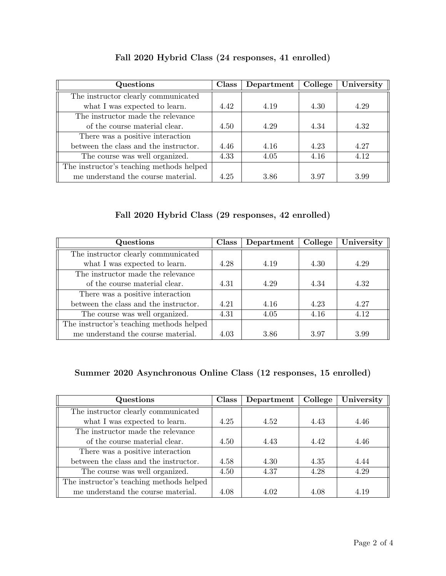| Questions                                | Class | Department | College | University |
|------------------------------------------|-------|------------|---------|------------|
| The instructor clearly communicated      |       |            |         |            |
| what I was expected to learn.            | 4.42  | 4.19       | 4.30    | 4.29       |
| The instructor made the relevance        |       |            |         |            |
| of the course material clear.            | 4.50  | 4.29       | 4.34    | 4.32       |
| There was a positive interaction         |       |            |         |            |
| between the class and the instructor.    | 4.46  | 4.16       | 4.23    | 4.27       |
| The course was well organized.           | 4.33  | 4.05       | 4.16    | 4.12       |
| The instructor's teaching methods helped |       |            |         |            |
| me understand the course material.       | 4.25  | 3.86       | 3.97    | 3.99       |

## Fall 2020 Hybrid Class (24 responses, 41 enrolled)

Fall 2020 Hybrid Class (29 responses, 42 enrolled)

| Questions                                | <b>Class</b> | Department | College | University |
|------------------------------------------|--------------|------------|---------|------------|
| The instructor clearly communicated      |              |            |         |            |
| what I was expected to learn.            | 4.28         | 4.19       | 4.30    | 4.29       |
| The instructor made the relevance        |              |            |         |            |
| of the course material clear.            | 4.31         | 4.29       | 4.34    | 4.32       |
| There was a positive interaction         |              |            |         |            |
| between the class and the instructor.    | 4.21         | 4.16       | 4.23    | 4.27       |
| The course was well organized.           | 4.31         | 4.05       | 4.16    | 4.12       |
| The instructor's teaching methods helped |              |            |         |            |
| me understand the course material.       | 4.03         | 3.86       | 3.97    | 3.99       |

## Summer 2020 Asynchronous Online Class (12 responses, 15 enrolled)

| Questions                                | <b>Class</b> | Department | College | University |
|------------------------------------------|--------------|------------|---------|------------|
| The instructor clearly communicated      |              |            |         |            |
| what I was expected to learn.            | 4.25         | 4.52       | 4.43    | 4.46       |
| The instructor made the relevance        |              |            |         |            |
| of the course material clear.            | 4.50         | 4.43       | 4.42    | 4.46       |
| There was a positive interaction         |              |            |         |            |
| between the class and the instructor.    | 4.58         | 4.30       | 4.35    | 4.44       |
| The course was well organized.           | 4.50         | 4.37       | 4.28    | 4.29       |
| The instructor's teaching methods helped |              |            |         |            |
| me understand the course material.       | 4.08         | 4.02       | 4.08    | 4.19       |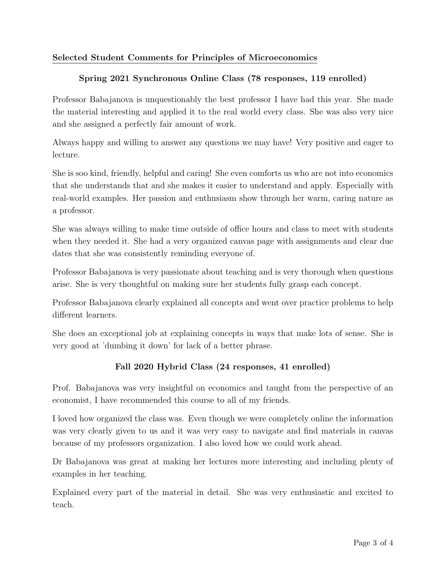## Selected Student Comments for Principles of Microeconomics

#### Spring 2021 Synchronous Online Class (78 responses, 119 enrolled)

Professor Babajanova is unquestionably the best professor I have had this year. She made the material interesting and applied it to the real world every class. She was also very nice and she assigned a perfectly fair amount of work.

Always happy and willing to answer any questions we may have! Very positive and eager to lecture.

She is soo kind, friendly, helpful and caring! She even comforts us who are not into economics that she understands that and she makes it easier to understand and apply. Especially with real-world examples. Her passion and enthusiasm show through her warm, caring nature as a professor.

She was always willing to make time outside of office hours and class to meet with students when they needed it. She had a very organized canvas page with assignments and clear due dates that she was consistently reminding everyone of.

Professor Babajanova is very passionate about teaching and is very thorough when questions arise. She is very thoughtful on making sure her students fully grasp each concept.

Professor Babajanova clearly explained all concepts and went over practice problems to help different learners.

She does an exceptional job at explaining concepts in ways that make lots of sense. She is very good at 'dumbing it down' for lack of a better phrase.

#### Fall 2020 Hybrid Class (24 responses, 41 enrolled)

Prof. Babajanova was very insightful on economics and taught from the perspective of an economist, I have recommended this course to all of my friends.

I loved how organized the class was. Even though we were completely online the information was very clearly given to us and it was very easy to navigate and find materials in canvas because of my professors organization. I also loved how we could work ahead.

Dr Babajanova was great at making her lectures more interesting and including plenty of examples in her teaching.

Explained every part of the material in detail. She was very enthusiastic and excited to teach.